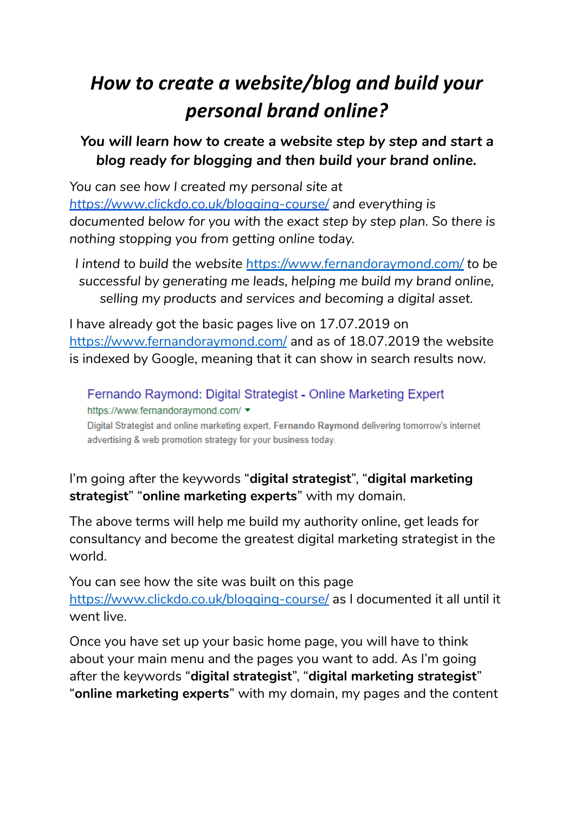# *How to create a website/blog and build your personal brand online?*

# *You will learn how to create a website step by step and start a blog ready for blogging and then build your brand online.*

*You can see how I created my personal site at <https://www.clickdo.co.uk/blogging-course/> and everything is documented below for you with the exact step by step plan. So there is nothing stopping you from getting online today.*

*I intend to build the website <https://www.fernandoraymond.com/> to be successful by generating me leads, helping me build my brand online, selling my products and services and becoming a digital asset.*

I have already got the basic pages live on 17.07.2019 on <https://www.fernandoraymond.com/> and as of 18.07.2019 the website is indexed by Google, meaning that it can show in search results now.

Fernando Raymond: Digital Strategist - Online Marketing Expert https://www.fernandoraymond.com/▼

Digital Strategist and online marketing expert, Fernando Raymond delivering tomorrow's internet advertising & web promotion strategy for your business today.

# I'm going after the keywords "**digital strategist**", "**digital marketing strategist**" "**online marketing experts**" with my domain.

The above terms will help me build my authority online, get leads for consultancy and become the greatest digital marketing strategist in the world.

You can see how the site was built on this page <https://www.clickdo.co.uk/blogging-course/> as I documented it all until it went live.

Once you have set up your basic home page, you will have to think about your main menu and the pages you want to add. As I'm going after the keywords "**digital strategist**", "**digital marketing strategist**" "**online marketing experts**" with my domain, my pages and the content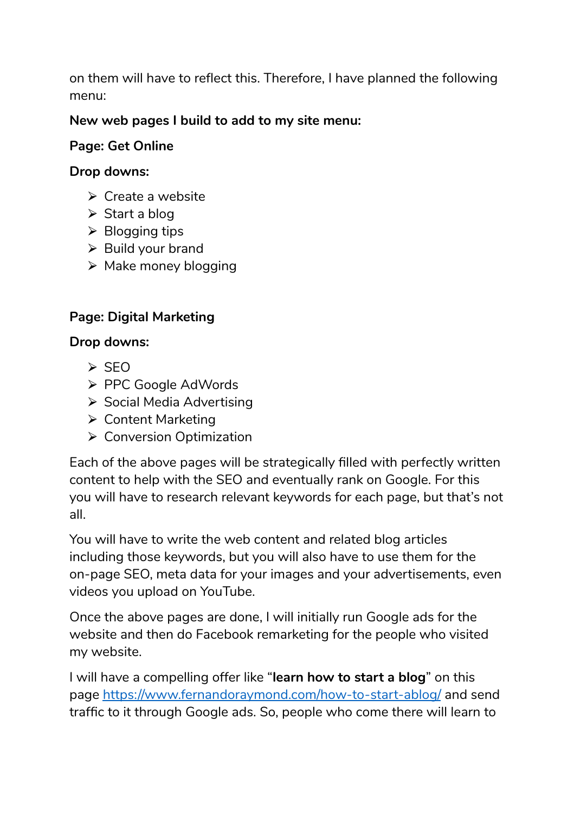on them will have to reflect this. Therefore, I have planned the following menu:

### **New web pages I build to add to my site menu:**

#### **Page: Get Online**

#### **Drop downs:**

- $\triangleright$  Create a website
- $\triangleright$  Start a blog
- $\triangleright$  Blogging tips
- $\triangleright$  Build your brand
- $\triangleright$  Make money blogging

# **Page: Digital Marketing**

#### **Drop downs:**

- $\triangleright$  SEO
- ⮚ PPC Google AdWords
- ▶ Social Media Advertising
- ⮚ Content Marketing
- $\triangleright$  Conversion Optimization

Each of the above pages will be strategically filled with perfectly written content to help with the SEO and eventually rank on Google. For this you will have to research relevant keywords for each page, but that's not all.

You will have to write the web content and related blog articles including those keywords, but you will also have to use them for the on-page SEO, meta data for your images and your advertisements, even videos you upload on YouTube.

Once the above pages are done, I will initially run Google ads for the website and then do Facebook remarketing for the people who visited my website.

I will have a compelling offer like "**learn how to start a blog**" on this page <https://www.fernandoraymond.com/how-to-start-ablog/> and send traffic to it through Google ads. So, people who come there will learn to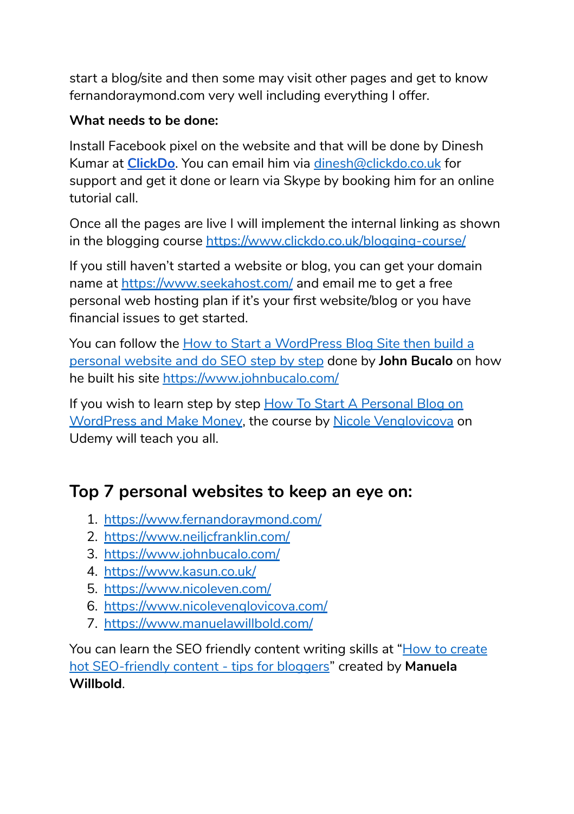start a blog/site and then some may visit other pages and get to know fernandoraymond.com very well including everything I offer.

## **What needs to be done:**

Install Facebook pixel on the website and that will be done by Dinesh Kumar at **[ClickDo](https://www.clickdo.co.uk/)**. You can email him via [dinesh@clickdo.co.uk](mailto:dinesh@clickdo.co.uk) for support and get it done or learn via Skype by booking him for an online tutorial call.

Once all the pages are live I will implement the internal linking as shown in the blogging course <https://www.clickdo.co.uk/blogging-course/>

If you still haven't started a website or blog, you can get your domain name at <https://www.seekahost.com/> and email me to get a free personal web hosting plan if it's your first website/blog or you have financial issues to get started.

You can follow the How to Start a [WordPress](https://www.seekahost.co.uk/how-to-start-a-wordpress-blog/) Blog Site then build a [personal](https://www.seekahost.co.uk/how-to-start-a-wordpress-blog/) website and do SEO step by step done by **John Bucalo** on how he built his site <https://www.johnbucalo.com/>

If you wish to learn step by step How To Start A [Personal](https://www.udemy.com/how-to-start-a-personal-blog-on-wordpress-and-make-money/) Blog on [WordPress](https://www.udemy.com/how-to-start-a-personal-blog-on-wordpress-and-make-money/) and Make Money, the course by Nicole [Venglovicova](https://www.udemy.com/how-to-start-a-personal-blog-on-wordpress-and-make-money/#instructor-1) on Udemy will teach you all.

# **Top 7 personal websites to keep an eye on:**

- 1. <https://www.fernandoraymond.com/>
- 2. <https://www.neiljcfranklin.com/>
- 3. <https://www.johnbucalo.com/>
- 4. <https://www.kasun.co.uk/>
- 5. <https://www.nicoleven.com/>
- 6. <https://www.nicolevenglovicova.com/>
- 7. [https://www.manuelawillbold.com/](https://manuelawillbold.com/)

You can learn the SEO friendly content writing skills at "How to [create](https://www.udemy.com/create-hot-seo-friendly-content-tips-for-bloggers/) hot [SEO-friendly](https://www.udemy.com/create-hot-seo-friendly-content-tips-for-bloggers/) content - tips for bloggers" created by **Manuela Willbold**.